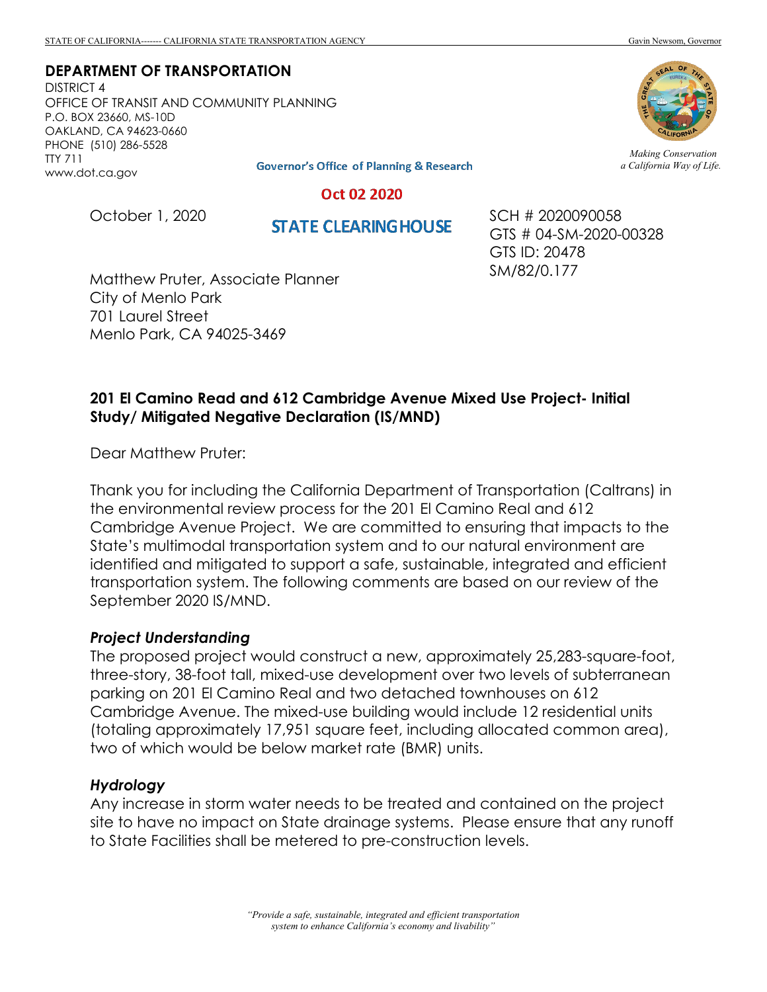**DEPARTMENT OF TRANSPORTATION**

DISTRICT 4 OFFICE OF TRANSIT AND COMMUNITY PLANNING P.O. BOX 23660, MS-10D OAKLAND, CA 94623-0660 PHONE (510) 286-5528 TTY 711 www.dot.ca.gov

**Governor's Office of Planning & Research** 

*Making Conservation a California Way of Life.*

Oct 02 2020

October 1, 2020

**STATE CLEARING HOUSE** 

SCH # 2020090058 GTS # 04-SM-2020-00328 GTS ID: 20478 SM/82/0.177

Matthew Pruter, Associate Planner City of Menlo Park 701 Laurel Street Menlo Park, CA 94025-3469

# **201 El Camino Read and 612 Cambridge Avenue Mixed Use Project- Initial Study/ Mitigated Negative Declaration (IS/MND)**

Dear Matthew Pruter:

Thank you for including the California Department of Transportation (Caltrans) in the environmental review process for the 201 El Camino Real and 612 Cambridge Avenue Project. We are committed to ensuring that impacts to the State's multimodal transportation system and to our natural environment are identified and mitigated to support a safe, sustainable, integrated and efficient transportation system. The following comments are based on our review of the September 2020 IS/MND.

## *Project Understanding*

The proposed project would construct a new, approximately 25,283-square-foot, three-story, 38-foot tall, mixed-use development over two levels of subterranean parking on 201 El Camino Real and two detached townhouses on 612 Cambridge Avenue. The mixed-use building would include 12 residential units (totaling approximately 17,951 square feet, including allocated common area), two of which would be below market rate (BMR) units.

#### *Hydrology*

Any increase in storm water needs to be treated and contained on the project site to have no impact on State drainage systems. Please ensure that any runoff to State Facilities shall be metered to pre-construction levels.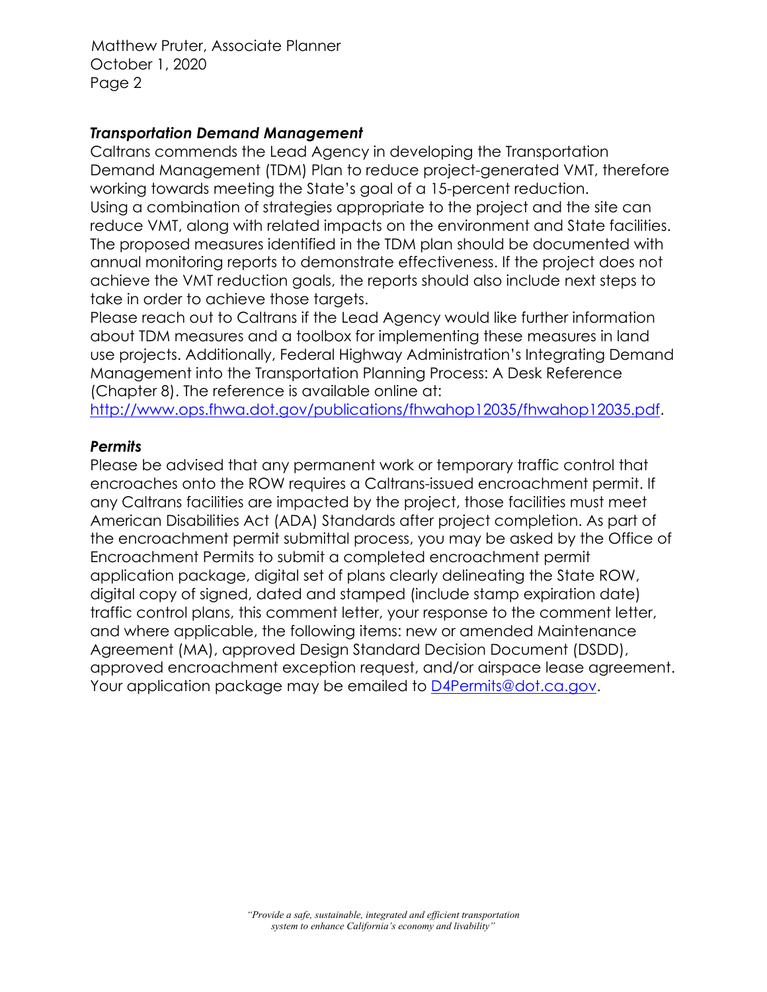Matthew Pruter, Associate Planner October 1, 2020 Page 2

## *Transportation Demand Management*

Caltrans commends the Lead Agency in developing the Transportation Demand Management (TDM) Plan to reduce project-generated VMT, therefore working towards meeting the State's goal of a 15-percent reduction. Using a combination of strategies appropriate to the project and the site can reduce VMT, along with related impacts on the environment and State facilities. The proposed measures identified in the TDM plan should be documented with annual monitoring reports to demonstrate effectiveness. If the project does not achieve the VMT reduction goals, the reports should also include next steps to take in order to achieve those targets.

Please reach out to Caltrans if the Lead Agency would like further information about TDM measures and a toolbox for implementing these measures in land use projects. Additionally, Federal Highway Administration's Integrating Demand Management into the Transportation Planning Process: A Desk Reference (Chapter 8). The reference is available online at:

[http://www.ops.fhwa.dot.gov/publications/fhwahop12035/fhwahop12035.pdf.](http://www.ops.fhwa.dot.gov/publications/fhwahop12035/fhwahop12035.pdf)

## *Permits*

Please be advised that any permanent work or temporary traffic control that encroaches onto the ROW requires a Caltrans-issued encroachment permit. If any Caltrans facilities are impacted by the project, those facilities must meet American Disabilities Act (ADA) Standards after project completion. As part of the encroachment permit submittal process, you may be asked by the Office of Encroachment Permits to submit a completed encroachment permit application package, digital set of plans clearly delineating the State ROW, digital copy of signed, dated and stamped (include stamp expiration date) traffic control plans, this comment letter, your response to the comment letter, and where applicable, the following items: new or amended Maintenance Agreement (MA), approved Design Standard Decision Document (DSDD), approved encroachment exception request, and/or airspace lease agreement. Your application package may be emailed to **D4Permits@dot.ca.gov.**